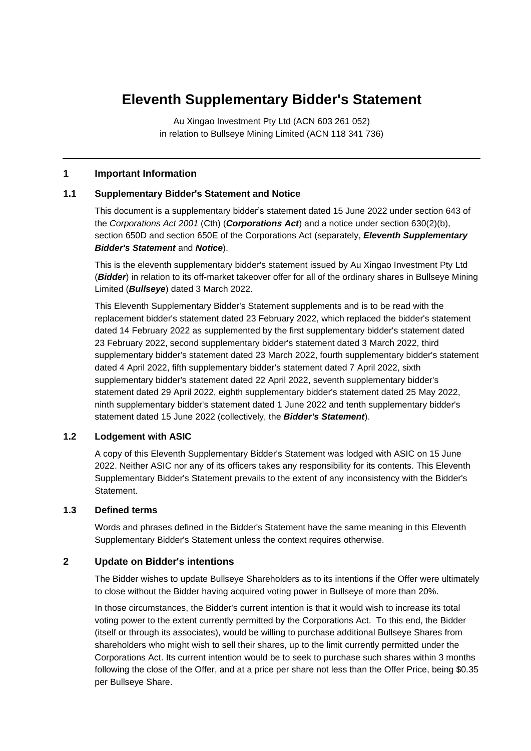# **Eleventh Supplementary Bidder's Statement**

Au Xingao Investment Pty Ltd (ACN 603 261 052) in relation to Bullseye Mining Limited (ACN 118 341 736)

#### **1 Important Information**

#### **1.1 Supplementary Bidder's Statement and Notice**

This document is a supplementary bidder's statement dated 15 June 2022 under section 643 of the *Corporations Act 2001* (Cth) (*Corporations Act*) and a notice under section 630(2)(b), section 650D and section 650E of the Corporations Act (separately, *Eleventh Supplementary Bidder's Statement* and *Notice*).

This is the eleventh supplementary bidder's statement issued by Au Xingao Investment Pty Ltd (*Bidder*) in relation to its off-market takeover offer for all of the ordinary shares in Bullseye Mining Limited (*Bullseye*) dated 3 March 2022.

This Eleventh Supplementary Bidder's Statement supplements and is to be read with the replacement bidder's statement dated 23 February 2022, which replaced the bidder's statement dated 14 February 2022 as supplemented by the first supplementary bidder's statement dated 23 February 2022, second supplementary bidder's statement dated 3 March 2022, third supplementary bidder's statement dated 23 March 2022, fourth supplementary bidder's statement dated 4 April 2022, fifth supplementary bidder's statement dated 7 April 2022, sixth supplementary bidder's statement dated 22 April 2022, seventh supplementary bidder's statement dated 29 April 2022, eighth supplementary bidder's statement dated 25 May 2022, ninth supplementary bidder's statement dated 1 June 2022 and tenth supplementary bidder's statement dated 15 June 2022 (collectively, the *Bidder's Statement*).

#### **1.2 Lodgement with ASIC**

A copy of this Eleventh Supplementary Bidder's Statement was lodged with ASIC on 15 June 2022. Neither ASIC nor any of its officers takes any responsibility for its contents. This Eleventh Supplementary Bidder's Statement prevails to the extent of any inconsistency with the Bidder's Statement.

#### **1.3 Defined terms**

Words and phrases defined in the Bidder's Statement have the same meaning in this Eleventh Supplementary Bidder's Statement unless the context requires otherwise.

## **2 Update on Bidder's intentions**

The Bidder wishes to update Bullseye Shareholders as to its intentions if the Offer were ultimately to close without the Bidder having acquired voting power in Bullseye of more than 20%.

In those circumstances, the Bidder's current intention is that it would wish to increase its total voting power to the extent currently permitted by the Corporations Act. To this end, the Bidder (itself or through its associates), would be willing to purchase additional Bullseye Shares from shareholders who might wish to sell their shares, up to the limit currently permitted under the Corporations Act. Its current intention would be to seek to purchase such shares within 3 months following the close of the Offer, and at a price per share not less than the Offer Price, being \$0.35 per Bullseye Share.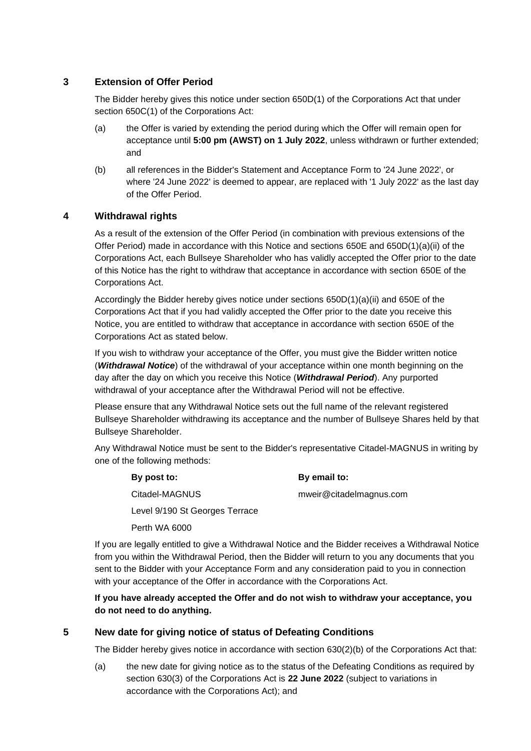# **3 Extension of Offer Period**

The Bidder hereby gives this notice under section 650D(1) of the Corporations Act that under section 650C(1) of the Corporations Act:

- (a) the Offer is varied by extending the period during which the Offer will remain open for acceptance until **5:00 pm (AWST) on 1 July 2022**, unless withdrawn or further extended; and
- (b) all references in the Bidder's Statement and Acceptance Form to '24 June 2022', or where '24 June 2022' is deemed to appear, are replaced with '1 July 2022' as the last day of the Offer Period.

## **4 Withdrawal rights**

As a result of the extension of the Offer Period (in combination with previous extensions of the Offer Period) made in accordance with this Notice and sections 650E and 650D(1)(a)(ii) of the Corporations Act, each Bullseye Shareholder who has validly accepted the Offer prior to the date of this Notice has the right to withdraw that acceptance in accordance with section 650E of the Corporations Act.

Accordingly the Bidder hereby gives notice under sections 650D(1)(a)(ii) and 650E of the Corporations Act that if you had validly accepted the Offer prior to the date you receive this Notice, you are entitled to withdraw that acceptance in accordance with section 650E of the Corporations Act as stated below.

If you wish to withdraw your acceptance of the Offer, you must give the Bidder written notice (*Withdrawal Notice*) of the withdrawal of your acceptance within one month beginning on the day after the day on which you receive this Notice (*Withdrawal Period*). Any purported withdrawal of your acceptance after the Withdrawal Period will not be effective.

Please ensure that any Withdrawal Notice sets out the full name of the relevant registered Bullseye Shareholder withdrawing its acceptance and the number of Bullseye Shares held by that Bullseye Shareholder.

Any Withdrawal Notice must be sent to the Bidder's representative Citadel-MAGNUS in writing by one of the following methods:

| By post to:    | By email to:            |
|----------------|-------------------------|
| Citadel-MAGNUS | mweir@citadelmagnus.com |

Level 9/190 St Georges Terrace

Perth WA 6000

If you are legally entitled to give a Withdrawal Notice and the Bidder receives a Withdrawal Notice from you within the Withdrawal Period, then the Bidder will return to you any documents that you sent to the Bidder with your Acceptance Form and any consideration paid to you in connection with your acceptance of the Offer in accordance with the Corporations Act.

**If you have already accepted the Offer and do not wish to withdraw your acceptance, you do not need to do anything.**

## **5 New date for giving notice of status of Defeating Conditions**

The Bidder hereby gives notice in accordance with section 630(2)(b) of the Corporations Act that:

(a) the new date for giving notice as to the status of the Defeating Conditions as required by section 630(3) of the Corporations Act is **22 June 2022** (subject to variations in accordance with the Corporations Act); and